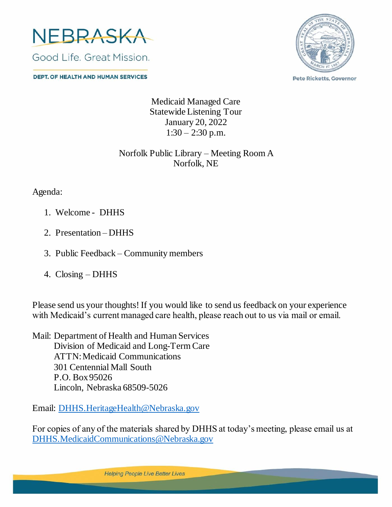

**DEPT. OF HEALTH AND HUMAN SERVICES** 



**Pete Ricketts, Governor** 

Medicaid Managed Care Statewide Listening Tour January 20, 2022  $1:30 - 2:30$  p.m.

## Norfolk Public Library – Meeting Room A Norfolk, NE

Agenda:

- 1. Welcome DHHS
- 2. Presentation DHHS
- 3. Public Feedback Community members
- 4. Closing DHHS

Please send us your thoughts! If you would like to send us feedback on your experience with Medicaid's current managed care health, please reach out to us via mail or email.

Mail: Department of Health and Human Services Division of Medicaid and Long-Term Care ATTN: Medicaid Communications 301 Centennial Mall South P.O. Box 95026 Lincoln, Nebraska 68509-5026

Email: [DHHS.HeritageHealth@Nebraska.gov](mailto:DHHS.HeritageHealth@Nebraska.gov)

For copies of any of the materials shared by DHHS at today's meeting, please email us at [DHHS.MedicaidCommunications@Nebraska.gov](mailto:DHHS.MedicaidCommunications@Nebraska.gov)

**Helping People Live Better Lives**